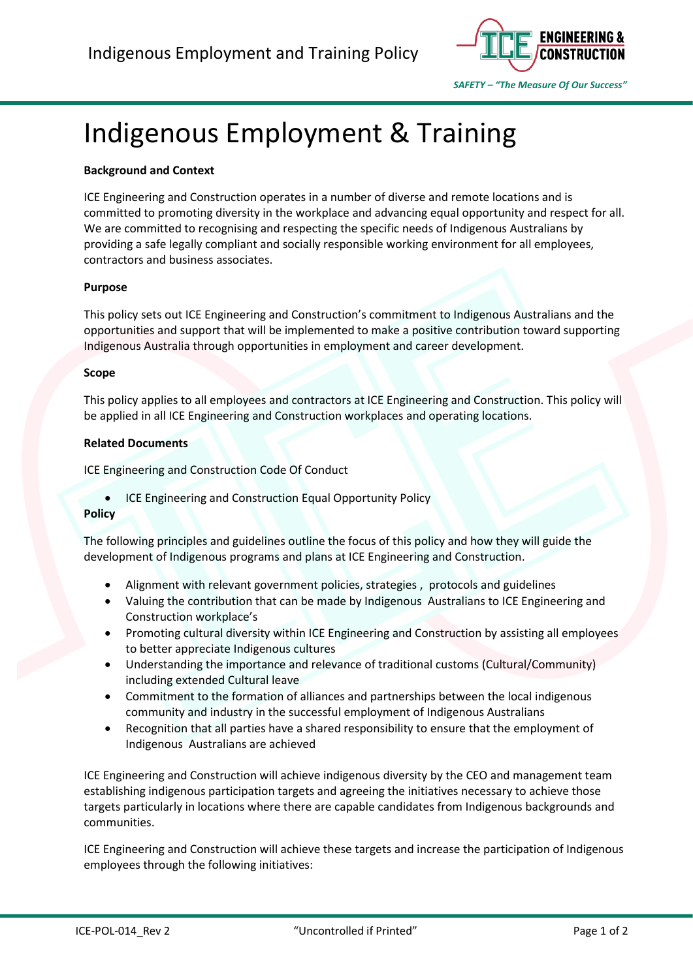

# Indigenous Employment & Training

# **Background and Context**

ICE Engineering and Construction operates in a number of diverse and remote locations and is committed to promoting diversity in the workplace and advancing equal opportunity and respect for all. We are committed to recognising and respecting the specific needs of Indigenous Australians by providing a safe legally compliant and socially responsible working environment for all employees, contractors and business associates.

# **Purpose**

This policy sets out ICE Engineering and Construction's commitment to Indigenous Australians and the opportunities and support that will be implemented to make a positive contribution toward supporting Indigenous Australia through opportunities in employment and career development.

## **Scope**

This policy applies to all employees and contractors at ICE Engineering and Construction. This policy will be applied in all ICE Engineering and Construction workplaces and operating locations.

### **Related Documents**

ICE Engineering and Construction Code Of Conduct

• ICE Engineering and Construction Equal Opportunity Policy

#### **Policy**

The following principles and guidelines outline the focus of this policy and how they will guide the development of Indigenous programs and plans at ICE Engineering and Construction.

- Alignment with relevant government policies, strategies , protocols and guidelines
- Valuing the contribution that can be made by Indigenous Australians to ICE Engineering and Construction workplace's
- Promoting cultural diversity within ICE Engineering and Construction by assisting all employees to better appreciate Indigenous cultures
- Understanding the importance and relevance of traditional customs (Cultural/Community) including extended Cultural leave
- Commitment to the formation of alliances and partnerships between the local indigenous community and industry in the successful employment of Indigenous Australians
- Recognition that all parties have a shared responsibility to ensure that the employment of Indigenous Australians are achieved

ICE Engineering and Construction will achieve indigenous diversity by the CEO and management team establishing indigenous participation targets and agreeing the initiatives necessary to achieve those targets particularly in locations where there are capable candidates from Indigenous backgrounds and communities.

ICE Engineering and Construction will achieve these targets and increase the participation of Indigenous employees through the following initiatives: